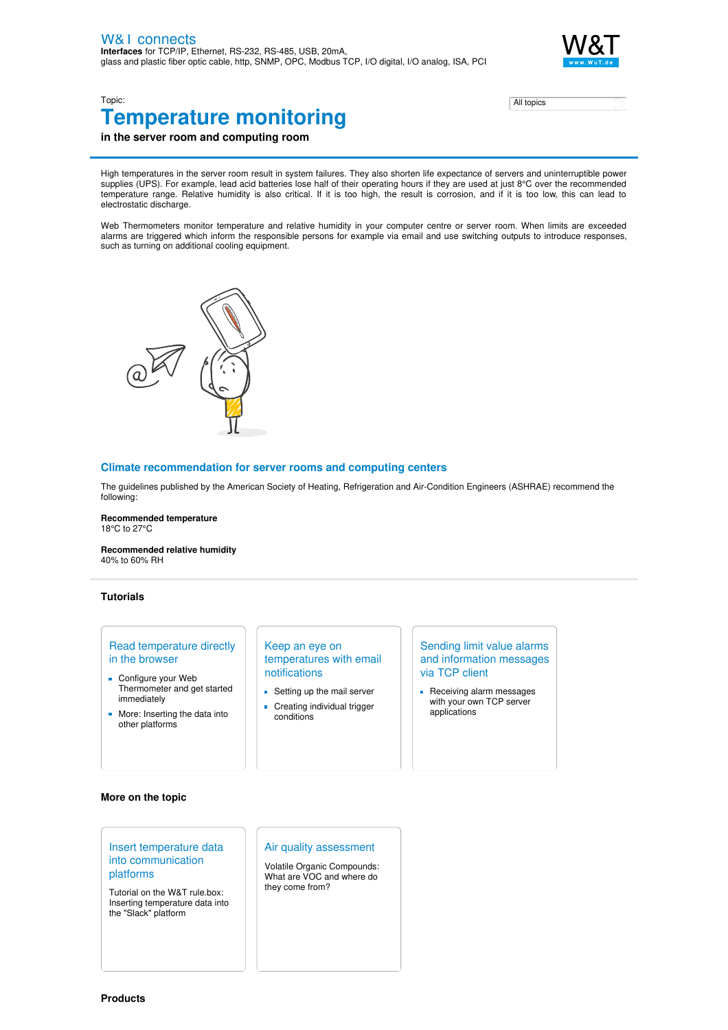

Topic:

# **Temperature monitoring**

| All topics |  |
|------------|--|
|            |  |
|            |  |

## **in the server room and computing room**

High temperatures in the server room result in system failures. They also shorten life expectance of servers and uninterruptible power supplies (UPS). For example, lead acid batteries lose half of their operating hours if they are used at just 8°C over the recommended temperature range. Relative humidity is also critical. If it is too high, the result is corrosion, and if it is too low, this can lead to electrostatic discharge.

Web Thermometers monitor temperature and relative humidity in your computer centre or server room. When limits are exceeded alarms are triggered which inform the responsible persons for example via email and use switching outputs to introduce responses, such as turning on additional cooling equipment.



#### **Climate recommendation for server rooms and computing centers**

The guidelines published by the American Society of Heating, Refrigeration and Air-Condition Engineers (ASHRAE) recommend the following:

**Recommended temperature** 18°C to 27°C

**Recommended relative humidity** 40% to 60% RH

## **Tutorials**

### Read temperature directly in the browser

- **Configure your Web** Thermometer and get started immediately
- More: Inserting the data into other platforms

#### Keep an eye on temperatures with email notifications

- Setting up the mail server
- **Creating individual trigger** conditions

## Sending limit value alarms and information messages via TCP client

**Receiving alarm messages** with your own TCP server applications

### **More on the topic**

## Insert temperature data into communication platforms

Tutorial on the W&T rule.box: Inserting temperature data into the "Slack" platform

#### Air quality assessment

Volatile Organic Compounds: What are VOC and where do they come from?